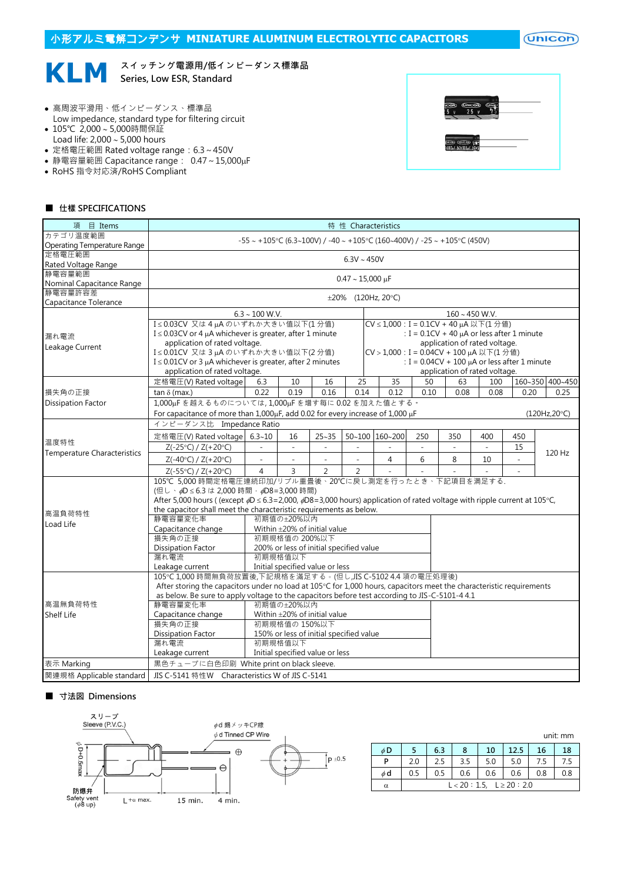小形アルミ電解コンデンサ **MINIATURE ALUMINUM ELECTROLYTIC CAPACITORS**

 $($ Unicon $)$ 

#### **KLM** スイッチング電源用/低インピーダンス標準品 Series, Low ESR, Standard

- 高周波平滑用、低インピーダンス、標準品 Low impedance, standard type for filtering circuit
- 105℃ 2,000~5,000時間保証 Load life:  $2,000 \sim 5,000$  hours
- 定格電圧範囲 Rated voltage range:6.3~450V
- 静電容量範囲 Capacitance range: 0.47~15,000µF
- RoHS 指令対応済/RoHS Compliant



#### ■ 仕樣 SPECIFICATIONS

| 項 目 Items                            | 特 性 Characteristics                                                                                                                       |                                                                               |                |                                         |          |  |                                         |                     |      |                               |                                                   |                 |  |
|--------------------------------------|-------------------------------------------------------------------------------------------------------------------------------------------|-------------------------------------------------------------------------------|----------------|-----------------------------------------|----------|--|-----------------------------------------|---------------------|------|-------------------------------|---------------------------------------------------|-----------------|--|
| カテゴリ温度範囲                             |                                                                                                                                           |                                                                               |                |                                         |          |  |                                         |                     |      |                               |                                                   |                 |  |
| Operating Temperature Range          |                                                                                                                                           | $-55 \sim +105$ °C (6.3~100V) / -40 ~ +105°C (160~400V) / -25 ~ +105°C (450V) |                |                                         |          |  |                                         |                     |      |                               |                                                   |                 |  |
| 定格電圧範囲                               |                                                                                                                                           | $6.3V \sim 450V$                                                              |                |                                         |          |  |                                         |                     |      |                               |                                                   |                 |  |
| Rated Voltage Range                  |                                                                                                                                           |                                                                               |                |                                         |          |  |                                         |                     |      |                               |                                                   |                 |  |
| 静電容量範囲                               |                                                                                                                                           | $0.47 \sim 15,000 \,\mu F$                                                    |                |                                         |          |  |                                         |                     |      |                               |                                                   |                 |  |
| Nominal Capacitance Range<br>静電容量許容差 |                                                                                                                                           |                                                                               |                |                                         |          |  |                                         |                     |      |                               |                                                   |                 |  |
| Capacitance Tolerance                |                                                                                                                                           | $\pm 20\%$ (120Hz, 20°C)                                                      |                |                                         |          |  |                                         |                     |      |                               |                                                   |                 |  |
|                                      | $6.3 \sim 100$ W.V.<br>$160 \sim 450$ W.V.                                                                                                |                                                                               |                |                                         |          |  |                                         |                     |      |                               |                                                   |                 |  |
|                                      | I≤0.03CV 又は4µAのいずれか大きい値以下(1分値)<br>CV ≤ 1,000 : I = 0.1CV + 40 µA 以下(1分値)                                                                  |                                                                               |                |                                         |          |  |                                         |                     |      |                               |                                                   |                 |  |
|                                      | I $\leq$ 0.03CV or 4 $\mu$ A whichever is greater, after 1 minute                                                                         |                                                                               |                |                                         |          |  |                                         |                     |      |                               | : $I = 0.1CV + 40 \mu A$ or less after 1 minute   |                 |  |
| 漏れ電流                                 | application of rated voltage.                                                                                                             |                                                                               |                |                                         |          |  |                                         |                     |      | application of rated voltage. |                                                   |                 |  |
| Leakage Current                      | I≤0.01CV 又は3µAのいずれか大きい値以下(2分値)                                                                                                            |                                                                               |                |                                         |          |  | CV > 1,000: I = 0.04CV + 100 μA 以下(1分值) |                     |      |                               |                                                   |                 |  |
|                                      | $I \leq 0.01$ CV or 3 µA whichever is greater, after 2 minutes                                                                            |                                                                               |                |                                         |          |  |                                         |                     |      |                               | : I = $0.04CV + 100 \mu A$ or less after 1 minute |                 |  |
|                                      | application of rated voltage.                                                                                                             |                                                                               |                |                                         |          |  |                                         |                     |      | application of rated voltage. |                                                   |                 |  |
|                                      | 定格電圧(V) Rated voltage                                                                                                                     | 6.3                                                                           | 10             | 16                                      | 25       |  | 35                                      | 50                  | 63   | 100                           |                                                   | 160~350 400~450 |  |
| 損失角の正接                               | tan $\delta$ (max.)                                                                                                                       | 0.22                                                                          | 0.19           | 0.16                                    | 0.14     |  | 0.12                                    | 0.10                | 0.08 | 0.08                          | 0.20                                              | 0.25            |  |
| <b>Dissipation Factor</b>            | 1,000µFを越えるものについては,1,000µFを増す每に0.02を加えた値とする。                                                                                              |                                                                               |                |                                         |          |  |                                         |                     |      |                               |                                                   |                 |  |
|                                      | For capacitance of more than 1,000µF, add 0.02 for every increase of 1,000 µF                                                             |                                                                               |                |                                         |          |  |                                         |                     |      |                               |                                                   | (120Hz, 20°C)   |  |
|                                      | インピーダンス比 Impedance Ratio                                                                                                                  |                                                                               |                |                                         |          |  |                                         |                     |      |                               |                                                   |                 |  |
|                                      | 定格電圧(V) Rated voltage 6.3~10                                                                                                              |                                                                               | 16             | $25 - 35$                               |          |  | 50~100 160~200                          | 250                 | 350  | 400                           | 450                                               |                 |  |
| 温度特性                                 | $Z(-25°C) / Z(+20°C)$                                                                                                                     |                                                                               | $\equiv$       |                                         |          |  |                                         | $\bar{\phantom{a}}$ |      |                               | 15                                                |                 |  |
| <b>Temperature Characteristics</b>   | $Z(-40°C) / Z(+20°C)$                                                                                                                     | $\sim$                                                                        | $\mathbf{r}$   | $\sim$                                  | $\equiv$ |  | $\overline{4}$                          | 6                   | 8    | 10                            |                                                   | 120 Hz          |  |
|                                      | $Z(-55°C) / Z(+20°C)$                                                                                                                     | $\overline{4}$                                                                | $\overline{3}$ | $\overline{2}$                          | 2        |  |                                         |                     |      |                               | $\bar{a}$                                         |                 |  |
|                                      | 105℃ 5,000 時間定格電圧連続印加/リプル重畳後、20℃に戻し測定を行ったとき、下記項目を満足する.                                                                                    |                                                                               |                |                                         |          |  |                                         |                     |      |                               |                                                   |                 |  |
|                                      | (但し、 ¢D ≤ 6.3 は 2,000 時間 · ¢D8=3,000 時間)                                                                                                  |                                                                               |                |                                         |          |  |                                         |                     |      |                               |                                                   |                 |  |
|                                      | After 5,000 hours ((except $\phi D \le 6.3 = 2,000$ , $\phi D8 = 3,000$ hours) application of rated voltage with ripple current at 105°C, |                                                                               |                |                                         |          |  |                                         |                     |      |                               |                                                   |                 |  |
| 高温負荷特性                               | the capacitor shall meet the characteristic requirements as below.                                                                        |                                                                               |                |                                         |          |  |                                         |                     |      |                               |                                                   |                 |  |
| Load Life                            | 静電容量変化率                                                                                                                                   |                                                                               | 初期值の±20%以内     |                                         |          |  |                                         |                     |      |                               |                                                   |                 |  |
|                                      | Capacitance change                                                                                                                        |                                                                               |                | Within ±20% of initial value            |          |  |                                         |                     |      |                               |                                                   |                 |  |
|                                      | 損失角の正接                                                                                                                                    |                                                                               | 初期規格値の 200%以下  |                                         |          |  |                                         |                     |      |                               |                                                   |                 |  |
|                                      | <b>Dissipation Factor</b><br>漏れ電流                                                                                                         |                                                                               | 初期規格值以下        | 200% or less of initial specified value |          |  |                                         |                     |      |                               |                                                   |                 |  |
|                                      | Leakage current                                                                                                                           |                                                                               |                | Initial specified value or less         |          |  |                                         |                     |      |                               |                                                   |                 |  |
|                                      | 105℃1,000時間無負荷放置後,下記規格を滿足する。(但し,JIS C-5102 4.4 項の電圧処理後)                                                                                   |                                                                               |                |                                         |          |  |                                         |                     |      |                               |                                                   |                 |  |
|                                      | After storing the capacitors under no load at 105°C for 1,000 hours, capacitors meet the characteristic requirements                      |                                                                               |                |                                         |          |  |                                         |                     |      |                               |                                                   |                 |  |
|                                      | as below. Be sure to apply voltage to the capacitors before test according to JIS-C-5101-44.1                                             |                                                                               |                |                                         |          |  |                                         |                     |      |                               |                                                   |                 |  |
| 高温無負荷特性                              | 静電容量変化率                                                                                                                                   |                                                                               | 初期值の±20%以内     |                                         |          |  |                                         |                     |      |                               |                                                   |                 |  |
| Shelf Life                           | Capacitance change                                                                                                                        |                                                                               |                | Within ±20% of initial value            |          |  |                                         |                     |      |                               |                                                   |                 |  |
|                                      | 損失角の正接                                                                                                                                    |                                                                               | 初期規格値の 150%以下  |                                         |          |  |                                         |                     |      |                               |                                                   |                 |  |
|                                      | <b>Dissipation Factor</b>                                                                                                                 |                                                                               |                | 150% or less of initial specified value |          |  |                                         |                     |      |                               |                                                   |                 |  |
|                                      | 漏れ電流                                                                                                                                      |                                                                               | 初期規格值以下        |                                         |          |  |                                         |                     |      |                               |                                                   |                 |  |
|                                      | Leakage current                                                                                                                           |                                                                               |                | Initial specified value or less         |          |  |                                         |                     |      |                               |                                                   |                 |  |
| 表示 Marking                           | 黒色チューブに白色印刷 White print on black sleeve.                                                                                                  |                                                                               |                |                                         |          |  |                                         |                     |      |                               |                                                   |                 |  |
| 関連規格 Applicable standard             | JIS C-5141 特性W Characteristics W of JIS C-5141                                                                                            |                                                                               |                |                                         |          |  |                                         |                     |      |                               |                                                   |                 |  |

### ■ 寸法図 Dimensions



|          |                                |     |     |     |      |     | unit: mm |  |  |  |
|----------|--------------------------------|-----|-----|-----|------|-----|----------|--|--|--|
| $\phi$ D |                                | 6.3 | 8   | 10  | 12.5 | 16  | 18       |  |  |  |
| P        | 2.0                            | 2.5 | 3.5 | 5.0 | 5.0  | 7.5 | 7.5      |  |  |  |
| $\phi$ d | 0.5                            | 0.5 | 0.6 | 0.6 | 0.6  | 0.8 | 0.8      |  |  |  |
| α        | $L < 20 : 1.5, L \ge 20 : 2.0$ |     |     |     |      |     |          |  |  |  |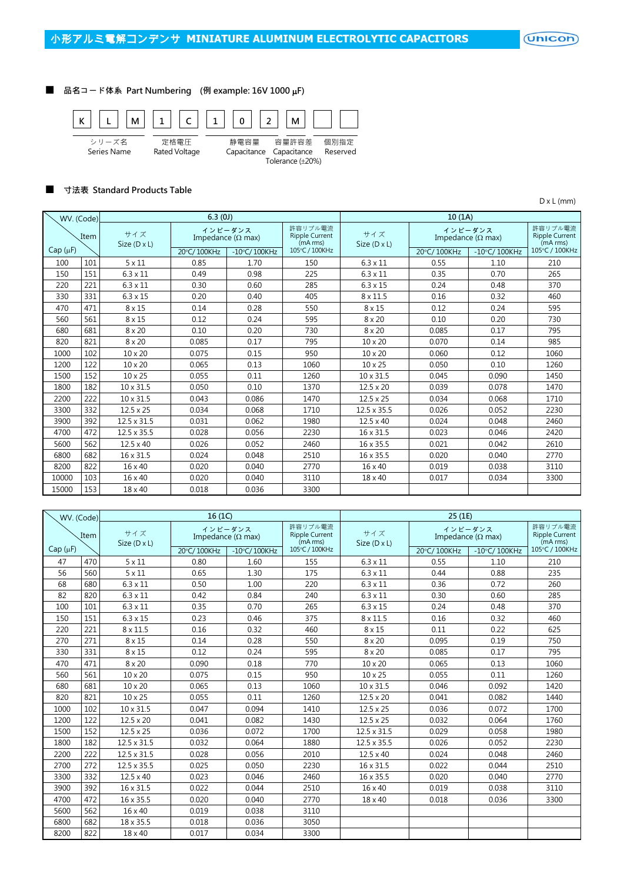$($ Unicon $)$ 

### ■ 品名コード体系 Part Numbering (例 example: 16V 1000 µF)



### ■ 寸法表 Standard Products Table

D x L (mm)

| WV. (Code)   |      |                            | 6.3(0J)     |                                      |                                              | 10(1A)              |                                      |                                              |                |  |  |
|--------------|------|----------------------------|-------------|--------------------------------------|----------------------------------------------|---------------------|--------------------------------------|----------------------------------------------|----------------|--|--|
|              | Item | サイズ<br>Size $(D \times L)$ |             | インピーダンス<br>Impedance ( $\Omega$ max) | 許容リプル電流<br><b>Ripple Current</b><br>(mA rms) | サイズ<br>Size (D x L) | インピーダンス<br>Impedance ( $\Omega$ max) | 許容リプル雷流<br><b>Ripple Current</b><br>(mA rms) |                |  |  |
| $Cap(\mu F)$ |      |                            | 20°C/100KHz | $-10^{\circ}$ C/100KHz               | 105°C / 100KHz                               |                     | 20°C/100KHz                          | $-10^{\circ}$ C/100KHz                       | 105°C / 100KHz |  |  |
| 100          | 101  | $5 \times 11$              | 0.85        | 1.70                                 | 150                                          | $6.3 \times 11$     | 0.55                                 | 1.10                                         | 210            |  |  |
| 150          | 151  | $6.3 \times 11$            | 0.49        | 0.98                                 | 225                                          | $6.3 \times 11$     | 0.35                                 | 0.70                                         | 265            |  |  |
| 220          | 221  | $6.3 \times 11$            | 0.30        | 0.60                                 | 285                                          | $6.3 \times 15$     | 0.24                                 | 0.48                                         | 370            |  |  |
| 330          | 331  | $6.3 \times 15$            | 0.20        | 0.40                                 | 405                                          | $8 \times 11.5$     | 0.16                                 | 0.32                                         | 460            |  |  |
| 470          | 471  | $8 \times 15$              | 0.14        | 0.28                                 | 550                                          | $8 \times 15$       | 0.12                                 | 0.24                                         | 595            |  |  |
| 560          | 561  | $8 \times 15$              | 0.12        | 0.24                                 | 595                                          | $8 \times 20$       | 0.10                                 | 0.20                                         | 730            |  |  |
| 680          | 681  | $8 \times 20$              | 0.10        | 0.20                                 | 730                                          | $8 \times 20$       | 0.085                                | 0.17                                         | 795            |  |  |
| 820          | 821  | $8 \times 20$              | 0.085       | 0.17                                 | 795                                          | $10 \times 20$      | 0.070                                | 0.14                                         | 985            |  |  |
| 1000         | 102  | 10 x 20                    | 0.075       | 0.15                                 | 950                                          | 10 x 20             | 0.060                                | 0.12                                         | 1060           |  |  |
| 1200         | 122  | $10 \times 20$             | 0.065       | 0.13                                 | 1060                                         | $10 \times 25$      | 0.050                                | 0.10                                         | 1260           |  |  |
| 1500         | 152  | $10 \times 25$             | 0.055       | 0.11                                 | 1260                                         | 10 x 31.5           | 0.045                                | 0.090                                        | 1450           |  |  |
| 1800         | 182  | $10 \times 31.5$           | 0.050       | 0.10                                 | 1370                                         | $12.5 \times 20$    | 0.039                                | 0.078                                        | 1470           |  |  |
| 2200         | 222  | $10 \times 31.5$           | 0.043       | 0.086                                | 1470                                         | $12.5 \times 25$    | 0.034                                | 0.068                                        | 1710           |  |  |
| 3300         | 332  | $12.5 \times 25$           | 0.034       | 0.068                                | 1710                                         | $12.5 \times 35.5$  | 0.026                                | 0.052                                        | 2230           |  |  |
| 3900         | 392  | $12.5 \times 31.5$         | 0.031       | 0.062                                | 1980                                         | $12.5 \times 40$    | 0.024                                | 0.048                                        | 2460           |  |  |
| 4700         | 472  | $12.5 \times 35.5$         | 0.028       | 0.056                                | 2230                                         | 16 x 31.5           | 0.023                                | 0.046                                        | 2420           |  |  |
| 5600         | 562  | $12.5 \times 40$           | 0.026       | 0.052                                | 2460                                         | 16 x 35.5           | 0.021                                | 0.042                                        | 2610           |  |  |
| 6800         | 682  | 16 x 31.5                  | 0.024       | 0.048                                | 2510                                         | 16 x 35.5           | 0.020                                | 0.040                                        | 2770           |  |  |
| 8200         | 822  | 16 x 40                    | 0.020       | 0.040                                | 2770                                         | 16 x 40             | 0.019                                | 0.038                                        | 3110           |  |  |
| 10000        | 103  | 16 x 40                    | 0.020       | 0.040                                | 3110                                         | 18 x 40             | 0.017                                | 0.034                                        | 3300           |  |  |
| 15000        | 153  | $18 \times 40$             | 0.018       | 0.036                                | 3300                                         |                     |                                      |                                              |                |  |  |

| WV. (Code)   |      |                            | 16(1C)      |                                      |                                              | 25 (1E)             |             |                                      |                                              |  |  |
|--------------|------|----------------------------|-------------|--------------------------------------|----------------------------------------------|---------------------|-------------|--------------------------------------|----------------------------------------------|--|--|
|              | Item | サイズ<br>Size $(D \times L)$ |             | インピーダンス<br>Impedance ( $\Omega$ max) | 許容リプル電流<br><b>Ripple Current</b><br>(mA rms) | サイズ<br>Size (D x L) |             | インピーダンス<br>Impedance ( $\Omega$ max) | 許容リプル電流<br><b>Ripple Current</b><br>(mA rms) |  |  |
| $Cap(\mu F)$ |      |                            | 20°C/100KHz | $-10$ °C/100KHz                      | 105°C / 100KHz                               |                     | 20°C/100KHz | $-10\degree$ C/100KHz                | 105°C / 100KHz                               |  |  |
| 47           | 470  | $5 \times 11$              | 0.80        | 1.60                                 | 155                                          | $6.3 \times 11$     | 0.55        | 1.10                                 | 210                                          |  |  |
| 56           | 560  | $5 \times 11$              | 0.65        | 1.30                                 | 175                                          | $6.3 \times 11$     | 0.44        | 0.88                                 | 235                                          |  |  |
| 68           | 680  | $6.3 \times 11$            | 0.50        | 1.00                                 | 220                                          | $6.3 \times 11$     | 0.36        | 0.72                                 | 260                                          |  |  |
| 82           | 820  | $6.3 \times 11$            | 0.42        | 0.84                                 | 240                                          | $6.3 \times 11$     | 0.30        | 0.60                                 | 285                                          |  |  |
| 100          | 101  | $6.3 \times 11$            | 0.35        | 0.70                                 | 265                                          | $6.3 \times 15$     | 0.24        | 0.48                                 | 370                                          |  |  |
| 150          | 151  | $6.3 \times 15$            | 0.23        | 0.46                                 | 375                                          | 8 x 11.5            | 0.16        | 0.32                                 | 460                                          |  |  |
| 220          | 221  | $8 \times 11.5$            | 0.16        | 0.32                                 | 460                                          | $8 \times 15$       | 0.11        | 0.22                                 | 625                                          |  |  |
| 270          | 271  | $8 \times 15$              | 0.14        | 0.28                                 | 550                                          | $8 \times 20$       | 0.095       | 0.19                                 | 750                                          |  |  |
| 330          | 331  | $8 \times 15$              | 0.12        | 0.24                                 | 595                                          | $8 \times 20$       | 0.085       | 0.17                                 | 795                                          |  |  |
| 470          | 471  | $8 \times 20$              | 0.090       | 0.18                                 | 770                                          | 10 x 20             | 0.065       | 0.13                                 | 1060                                         |  |  |
| 560          | 561  | 10 x 20                    | 0.075       | 0.15                                 | 950                                          | 10 x 25             | 0.055       | 0.11                                 | 1260                                         |  |  |
| 680          | 681  | 10 x 20                    | 0.065       | 0.13                                 | 1060                                         | 10 x 31.5           | 0.046       | 0.092                                | 1420                                         |  |  |
| 820          | 821  | 10 x 25                    | 0.055       | 0.11                                 | 1260                                         | 12.5 x 20           | 0.041       | 0.082                                | 1440                                         |  |  |
| 1000         | 102  | $10 \times 31.5$           | 0.047       | 0.094                                | 1410                                         | $12.5 \times 25$    | 0.036       | 0.072                                | 1700                                         |  |  |
| 1200         | 122  | $12.5 \times 20$           | 0.041       | 0.082                                | 1430                                         | $12.5 \times 25$    | 0.032       | 0.064                                | 1760                                         |  |  |
| 1500         | 152  | $12.5 \times 25$           | 0.036       | 0.072                                | 1700                                         | 12.5 x 31.5         | 0.029       | 0.058                                | 1980                                         |  |  |
| 1800         | 182  | 12.5 x 31.5                | 0.032       | 0.064                                | 1880                                         | 12.5 x 35.5         | 0.026       | 0.052                                | 2230                                         |  |  |
| 2200         | 222  | 12.5 x 31.5                | 0.028       | 0.056                                | 2010                                         | $12.5 \times 40$    | 0.024       | 0.048                                | 2460                                         |  |  |
| 2700         | 272  | 12.5 x 35.5                | 0.025       | 0.050                                | 2230                                         | 16 x 31.5           | 0.022       | 0.044                                | 2510                                         |  |  |
| 3300         | 332  | $12.5 \times 40$           | 0.023       | 0.046                                | 2460                                         | 16 x 35.5           | 0.020       | 0.040                                | 2770                                         |  |  |
| 3900         | 392  | 16 x 31.5                  | 0.022       | 0.044                                | 2510                                         | 16 x 40             | 0.019       | 0.038                                | 3110                                         |  |  |
| 4700         | 472  | 16 x 35.5                  | 0.020       | 0.040                                | 2770                                         | 18 x 40             | 0.018       | 0.036                                | 3300                                         |  |  |
| 5600         | 562  | 16 x 40                    | 0.019       | 0.038                                | 3110                                         |                     |             |                                      |                                              |  |  |
| 6800         | 682  | 18 x 35.5                  | 0.018       | 0.036                                | 3050                                         |                     |             |                                      |                                              |  |  |
| 8200         | 822  | 18 x 40                    | 0.017       | 0.034                                | 3300                                         |                     |             |                                      |                                              |  |  |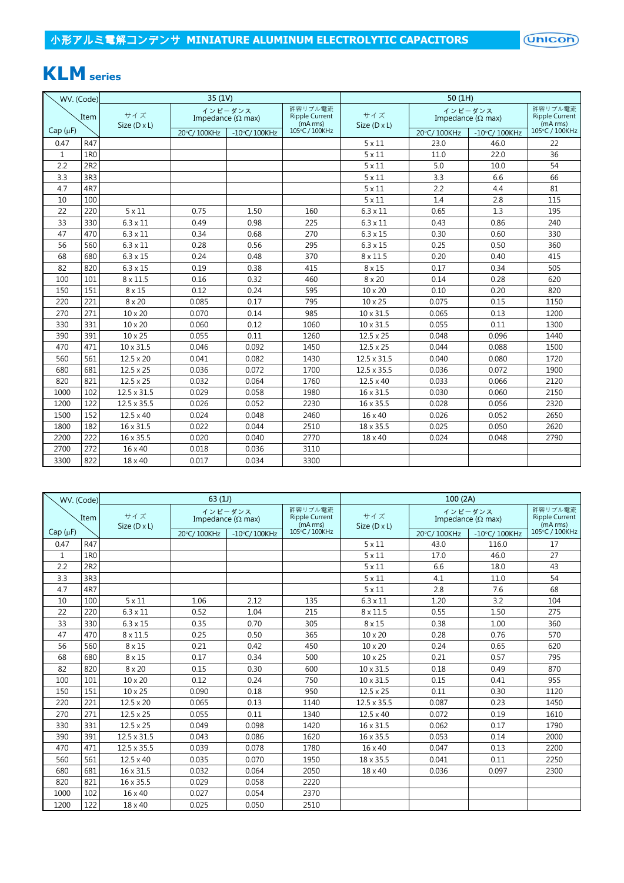# **KLM series**

| WV. (Code)    |      |                     | 35 (1V)                   |                        |                                              | 50(1H)              |                                      |                                              |                |  |
|---------------|------|---------------------|---------------------------|------------------------|----------------------------------------------|---------------------|--------------------------------------|----------------------------------------------|----------------|--|
|               | Item | サイズ<br>Size (D x L) | Impedance ( $\Omega$ max) | インピーダンス                | 許容リプル電流<br><b>Ripple Current</b><br>(mA rms) | サイズ<br>Size (D x L) | インピーダンス<br>Impedance ( $\Omega$ max) | 許容リプル電流<br><b>Ripple Current</b><br>(mA rms) |                |  |
| Cap $(\mu F)$ |      |                     | 20°C/100KHz               | $-10^{\circ}$ C/100KHz | 105°C / 100KHz                               |                     | 20°C/100KHz                          | $-10^{\circ}$ C/100KHz                       | 105°C / 100KHz |  |
| 0.47          | R47  |                     |                           |                        |                                              | $5 \times 11$       | 23.0                                 | 46.0                                         | 22             |  |
| $\mathbf{1}$  | 1R0  |                     |                           |                        |                                              | $5 \times 11$       | 11.0                                 | 22.0                                         | 36             |  |
| 2.2           | 2R2  |                     |                           |                        |                                              | $5 \times 11$       | 5.0                                  | 10.0                                         | 54             |  |
| 3.3           | 3R3  |                     |                           |                        |                                              | $5 \times 11$       | 3.3                                  | 6.6                                          | 66             |  |
| 4.7           | 4R7  |                     |                           |                        |                                              | $5 \times 11$       | 2.2                                  | 4.4                                          | 81             |  |
| 10            | 100  |                     |                           |                        |                                              | $5 \times 11$       | 1.4                                  | 2.8                                          | 115            |  |
| 22            | 220  | $5 \times 11$       | 0.75                      | 1.50                   | 160                                          | $6.3\times11$       | 0.65                                 | 1.3                                          | 195            |  |
| 33            | 330  | $6.3 \times 11$     | 0.49                      | 0.98                   | 225                                          | $6.3 \times 11$     | 0.43                                 | 0.86                                         | 240            |  |
| 47            | 470  | $6.3 \times 11$     | 0.34                      | 0.68                   | 270                                          | $6.3 \times 15$     | 0.30                                 | 0.60                                         | 330            |  |
| 56            | 560  | $6.3 \times 11$     | 0.28                      | 0.56                   | 295                                          | $6.3 \times 15$     | 0.25                                 | 0.50                                         | 360            |  |
| 68            | 680  | $6.3 \times 15$     | 0.24                      | 0.48                   | 370                                          | $8 \times 11.5$     | 0.20                                 | 0.40                                         | 415            |  |
| 82            | 820  | $6.3 \times 15$     | 0.19                      | 0.38                   | 415                                          | $8 \times 15$       | 0.17                                 | 0.34                                         | 505            |  |
| 100           | 101  | $8 \times 11.5$     | 0.16                      | 0.32                   | 460                                          | $8 \times 20$       | 0.14                                 | 0.28                                         | 620            |  |
| 150           | 151  | $8 \times 15$       | 0.12                      | 0.24                   | 595                                          | 10 x 20             | 0.10                                 | 0.20                                         | 820            |  |
| 220           | 221  | $8 \times 20$       | 0.085                     | 0.17                   | 795                                          | 10 x 25             | 0.075                                | 0.15                                         | 1150           |  |
| 270           | 271  | 10 x 20             | 0.070                     | 0.14                   | 985                                          | 10 x 31.5           | 0.065                                | 0.13                                         | 1200           |  |
| 330           | 331  | $10 \times 20$      | 0.060                     | 0.12                   | 1060                                         | $10 \times 31.5$    | 0.055                                | 0.11                                         | 1300           |  |
| 390           | 391  | $10 \times 25$      | 0.055                     | 0.11                   | 1260                                         | $12.5 \times 25$    | 0.048                                | 0.096                                        | 1440           |  |
| 470           | 471  | 10 x 31.5           | 0.046                     | 0.092                  | 1450                                         | $12.5 \times 25$    | 0.044                                | 0.088                                        | 1500           |  |
| 560           | 561  | $12.5 \times 20$    | 0.041                     | 0.082                  | 1430                                         | 12.5 x 31.5         | 0.040                                | 0.080                                        | 1720           |  |
| 680           | 681  | $12.5 \times 25$    | 0.036                     | 0.072                  | 1700                                         | 12.5 x 35.5         | 0.036                                | 0.072                                        | 1900           |  |
| 820           | 821  | $12.5 \times 25$    | 0.032                     | 0.064                  | 1760                                         | $12.5 \times 40$    | 0.033                                | 0.066                                        | 2120           |  |
| 1000          | 102  | 12.5 x 31.5         | 0.029                     | 0.058                  | 1980                                         | 16 x 31.5           | 0.030                                | 0.060                                        | 2150           |  |
| 1200          | 122  | 12.5 x 35.5         | 0.026                     | 0.052                  | 2230                                         | 16 x 35.5           | 0.028                                | 0.056                                        | 2320           |  |
| 1500          | 152  | $12.5 \times 40$    | 0.024                     | 0.048                  | 2460                                         | 16 x 40             | 0.026                                | 0.052                                        | 2650           |  |
| 1800          | 182  | 16 x 31.5           | 0.022                     | 0.044                  | 2510                                         | 18 x 35.5           | 0.025                                | 0.050                                        | 2620           |  |
| 2200          | 222  | 16 x 35.5           | 0.020                     | 0.040                  | 2770                                         | 18 x 40             | 0.024                                | 0.048                                        | 2790           |  |
| 2700          | 272  | 16 x 40             | 0.018                     | 0.036                  | 3110                                         |                     |                                      |                                              |                |  |
| 3300          | 822  | 18 x 40             | 0.017                     | 0.034                  | 3300                                         |                     |                                      |                                              |                |  |

|              | WV. (Code)      |                            | 63(1)       |                                      |                                              | 100(2A)                    |             |                                      |                                              |  |  |
|--------------|-----------------|----------------------------|-------------|--------------------------------------|----------------------------------------------|----------------------------|-------------|--------------------------------------|----------------------------------------------|--|--|
|              | Item            | サイズ<br>Size $(D \times L)$ |             | インピーダンス<br>Impedance ( $\Omega$ max) | 許容リプル電流<br><b>Ripple Current</b><br>(mA rms) | サイズ<br>Size $(D \times L)$ |             | インピーダンス<br>Impedance ( $\Omega$ max) | 許容リプル電流<br><b>Ripple Current</b><br>(mA rms) |  |  |
| $Cap(\mu F)$ |                 |                            | 20°C/100KHz | $-10$ °C/100KHz                      | 105°C / 100KHz                               |                            | 20°C/100KHz | $-10^{\circ}$ C/100KHz               | 105°C / 100KHz                               |  |  |
| 0.47         | R47             |                            |             |                                      |                                              | $5 \times 11$              | 43.0        | 116.0                                | 17                                           |  |  |
| 1            | 1 <sub>R0</sub> |                            |             |                                      |                                              | $5 \times 11$              | 17.0        | 46.0                                 | 27                                           |  |  |
| 2.2          | 2R2             |                            |             |                                      |                                              | $5 \times 11$              | 6.6         | 18.0                                 | 43                                           |  |  |
| 3.3          | 3R3             |                            |             |                                      |                                              | $5 \times 11$              | 4.1         | 11.0                                 | 54                                           |  |  |
| 4.7          | 4R7             |                            |             |                                      |                                              | $5 \times 11$              | 2.8         | 7.6                                  | 68                                           |  |  |
| 10           | 100             | $5 \times 11$              | 1.06        | 2.12                                 | 135                                          | $6.3 \times 11$            | 1.20        | 3.2                                  | 104                                          |  |  |
| 22           | 220             | $6.3 \times 11$            | 0.52        | 1.04                                 | 215                                          | $8 \times 11.5$            | 0.55        | 1.50                                 | 275                                          |  |  |
| 33           | 330             | $6.3 \times 15$            | 0.35        | 0.70                                 | 305                                          | $8 \times 15$              | 0.38        | 1.00                                 | 360                                          |  |  |
| 47           | 470             | $8 \times 11.5$            | 0.25        | 0.50                                 | 365                                          | 10 x 20                    | 0.28        | 0.76                                 | 570                                          |  |  |
| 56           | 560             | $8 \times 15$              | 0.21        | 0.42                                 | 450                                          | $10 \times 20$             | 0.24        | 0.65                                 | 620                                          |  |  |
| 68           | 680             | $8 \times 15$              | 0.17        | 0.34                                 | 500                                          | 10 x 25                    | 0.21        | 0.57                                 | 795                                          |  |  |
| 82           | 820             | $8 \times 20$              | 0.15        | 0.30                                 | 600                                          | 10 x 31.5                  | 0.18        | 0.49                                 | 870                                          |  |  |
| 100          | 101             | 10 x 20                    | 0.12        | 0.24                                 | 750                                          | 10 x 31.5                  | 0.15        | 0.41                                 | 955                                          |  |  |
| 150          | 151             | $10 \times 25$             | 0.090       | 0.18                                 | 950                                          | $12.5 \times 25$           | 0.11        | 0.30                                 | 1120                                         |  |  |
| 220          | 221             | $12.5 \times 20$           | 0.065       | 0.13                                 | 1140                                         | 12.5 x 35.5                | 0.087       | 0.23                                 | 1450                                         |  |  |
| 270          | 271             | $12.5 \times 25$           | 0.055       | 0.11                                 | 1340                                         | $12.5 \times 40$           | 0.072       | 0.19                                 | 1610                                         |  |  |
| 330          | 331             | $12.5 \times 25$           | 0.049       | 0.098                                | 1420                                         | 16 x 31.5                  | 0.062       | 0.17                                 | 1790                                         |  |  |
| 390          | 391             | 12.5 x 31.5                | 0.043       | 0.086                                | 1620                                         | 16 x 35.5                  | 0.053       | 0.14                                 | 2000                                         |  |  |
| 470          | 471             | $12.5 \times 35.5$         | 0.039       | 0.078                                | 1780                                         | $16 \times 40$             | 0.047       | 0.13                                 | 2200                                         |  |  |
| 560          | 561             | $12.5 \times 40$           | 0.035       | 0.070                                | 1950                                         | 18 x 35.5                  | 0.041       | 0.11                                 | 2250                                         |  |  |
| 680          | 681             | 16 x 31.5                  | 0.032       | 0.064                                | 2050                                         | 18 x 40                    | 0.036       | 0.097                                | 2300                                         |  |  |
| 820          | 821             | 16 x 35.5                  | 0.029       | 0.058                                | 2220                                         |                            |             |                                      |                                              |  |  |
| 1000         | 102             | 16 x 40                    | 0.027       | 0.054                                | 2370                                         |                            |             |                                      |                                              |  |  |
| 1200         | 122             | 18 x 40                    | 0.025       | 0.050                                | 2510                                         |                            |             |                                      |                                              |  |  |